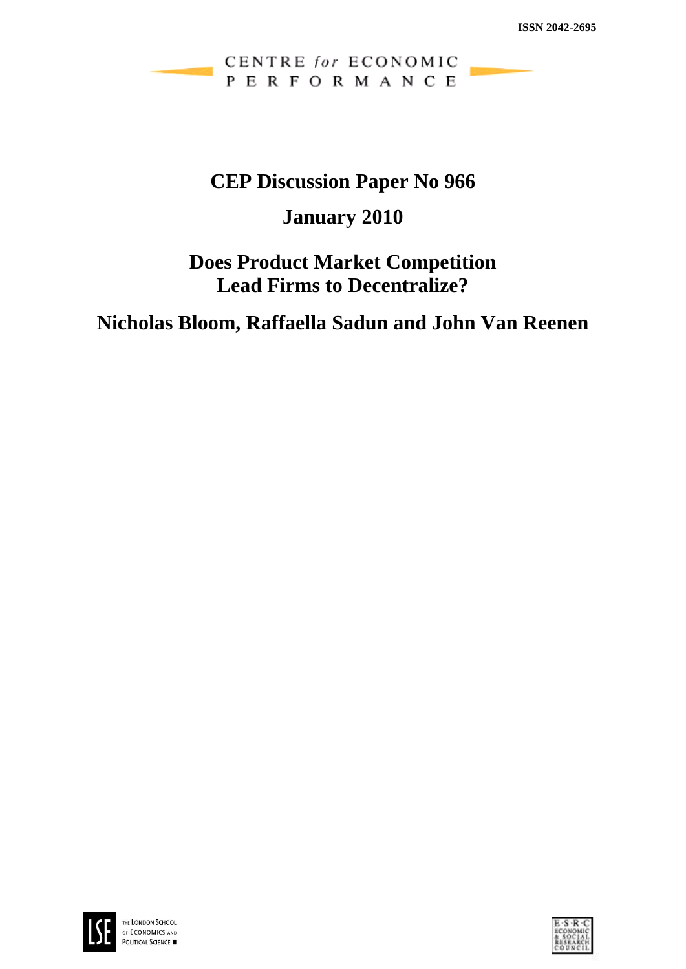### CENTRE for ECONOMIC PERFORMANCE

# **CEP Discussion Paper No 966**

# **January 2010**

# **Does Product Market Competition Lead Firms to Decentralize?**

# **Nicholas Bloom, Raffaella Sadun and John Van Reenen**



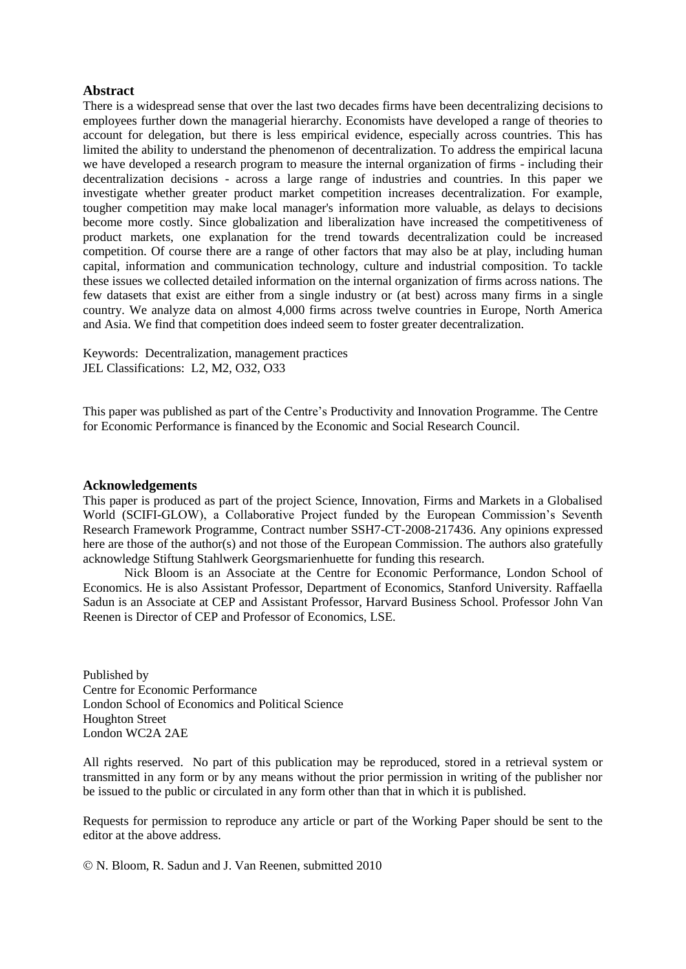#### **Abstract**

There is a widespread sense that over the last two decades firms have been decentralizing decisions to employees further down the managerial hierarchy. Economists have developed a range of theories to account for delegation, but there is less empirical evidence, especially across countries. This has limited the ability to understand the phenomenon of decentralization. To address the empirical lacuna we have developed a research program to measure the internal organization of firms - including their decentralization decisions - across a large range of industries and countries. In this paper we investigate whether greater product market competition increases decentralization. For example, tougher competition may make local manager's information more valuable, as delays to decisions become more costly. Since globalization and liberalization have increased the competitiveness of product markets, one explanation for the trend towards decentralization could be increased competition. Of course there are a range of other factors that may also be at play, including human capital, information and communication technology, culture and industrial composition. To tackle these issues we collected detailed information on the internal organization of firms across nations. The few datasets that exist are either from a single industry or (at best) across many firms in a single country. We analyze data on almost 4,000 firms across twelve countries in Europe, North America and Asia. We find that competition does indeed seem to foster greater decentralization.

Keywords: Decentralization, management practices JEL Classifications: L2, M2, O32, O33

This paper was published as part of the Centre's Productivity and Innovation Programme. The Centre for Economic Performance is financed by the Economic and Social Research Council.

#### **Acknowledgements**

This paper is produced as part of the project Science, Innovation, Firms and Markets in a Globalised World (SCIFI-GLOW), a Collaborative Project funded by the European Commission's Seventh Research Framework Programme, Contract number SSH7-CT-2008-217436. Any opinions expressed here are those of the author(s) and not those of the European Commission. The authors also gratefully acknowledge Stiftung Stahlwerk Georgsmarienhuette for funding this research.

Nick Bloom is an Associate at the Centre for Economic Performance, London School of Economics. He is also Assistant Professor, Department of Economics, Stanford University. Raffaella Sadun is an Associate at CEP and Assistant Professor, Harvard Business School. Professor John Van Reenen is Director of CEP and Professor of Economics, LSE.

Published by Centre for Economic Performance London School of Economics and Political Science Houghton Street London WC2A 2AE

All rights reserved. No part of this publication may be reproduced, stored in a retrieval system or transmitted in any form or by any means without the prior permission in writing of the publisher nor be issued to the public or circulated in any form other than that in which it is published.

Requests for permission to reproduce any article or part of the Working Paper should be sent to the editor at the above address.

N. Bloom, R. Sadun and J. Van Reenen, submitted 2010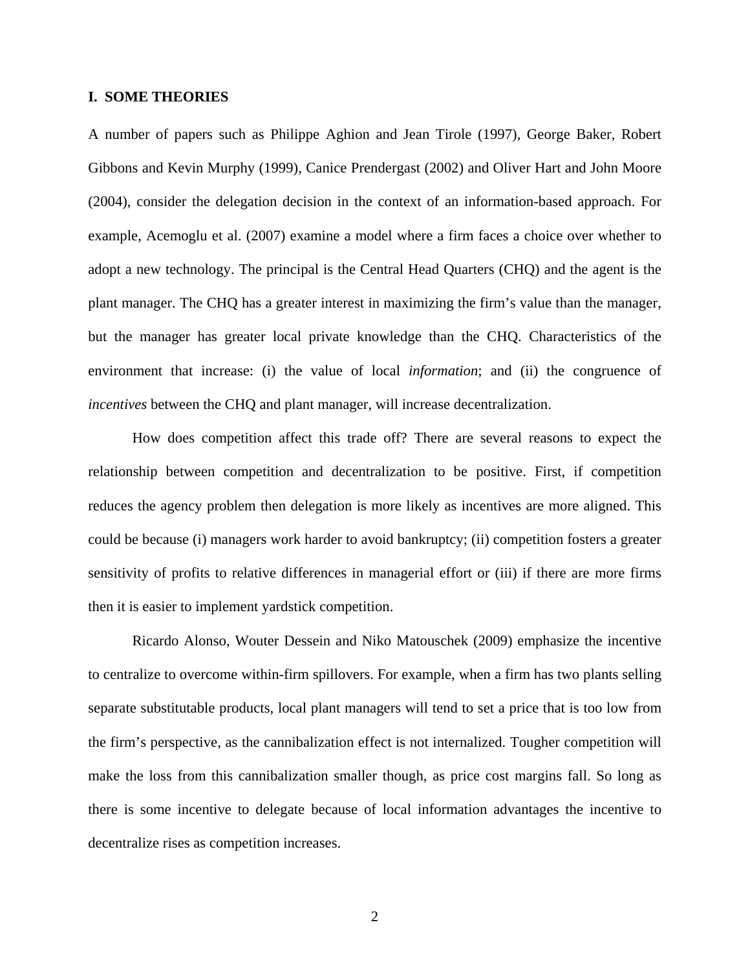#### **I. SOME THEORIES**

A number of papers such as Philippe Aghion and Jean Tirole (1997), George Baker, Robert Gibbons and Kevin Murphy (1999), Canice Prendergast (2002) and Oliver Hart and John Moore (2004), consider the delegation decision in the context of an information-based approach. For example, Acemoglu et al. (2007) examine a model where a firm faces a choice over whether to adopt a new technology. The principal is the Central Head Quarters (CHQ) and the agent is the plant manager. The CHQ has a greater interest in maximizing the firm's value than the manager, but the manager has greater local private knowledge than the CHQ. Characteristics of the environment that increase: (i) the value of local *information*; and (ii) the congruence of *incentives* between the CHQ and plant manager, will increase decentralization.

How does competition affect this trade off? There are several reasons to expect the relationship between competition and decentralization to be positive. First, if competition reduces the agency problem then delegation is more likely as incentives are more aligned. This could be because (i) managers work harder to avoid bankruptcy; (ii) competition fosters a greater sensitivity of profits to relative differences in managerial effort or (iii) if there are more firms then it is easier to implement yardstick competition.

Ricardo Alonso, Wouter Dessein and Niko Matouschek (2009) emphasize the incentive to centralize to overcome within-firm spillovers. For example, when a firm has two plants selling separate substitutable products, local plant managers will tend to set a price that is too low from the firm's perspective, as the cannibalization effect is not internalized. Tougher competition will make the loss from this cannibalization smaller though, as price cost margins fall. So long as there is some incentive to delegate because of local information advantages the incentive to decentralize rises as competition increases.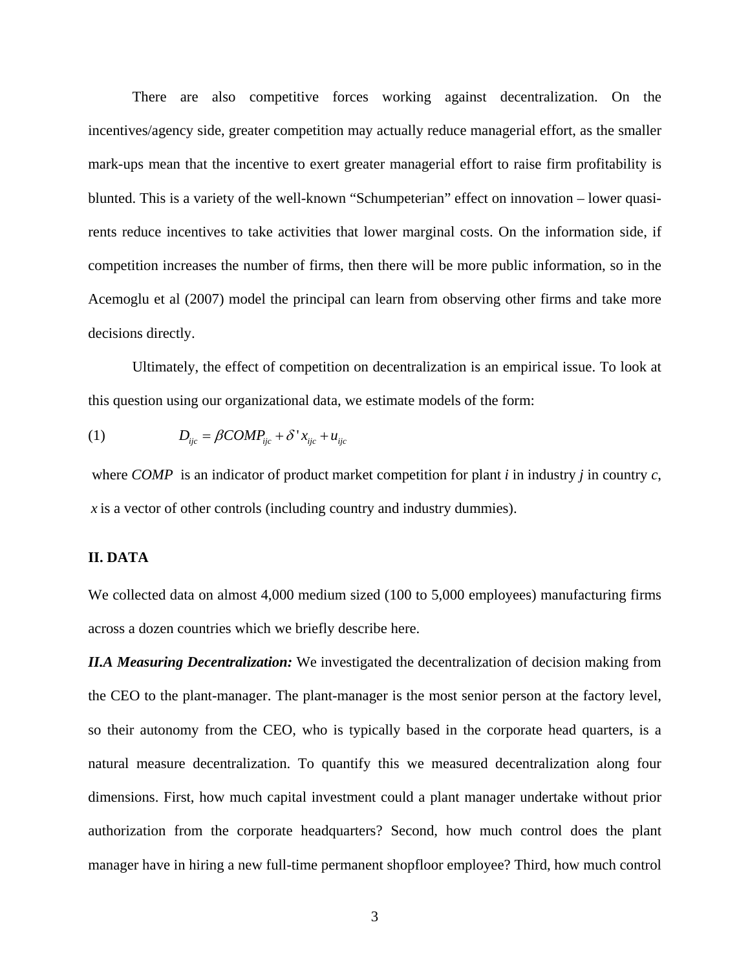There are also competitive forces working against decentralization. On the incentives/agency side, greater competition may actually reduce managerial effort, as the smaller mark-ups mean that the incentive to exert greater managerial effort to raise firm profitability is blunted. This is a variety of the well-known "Schumpeterian" effect on innovation – lower quasirents reduce incentives to take activities that lower marginal costs. On the information side, if competition increases the number of firms, then there will be more public information, so in the Acemoglu et al (2007) model the principal can learn from observing other firms and take more decisions directly.

Ultimately, the effect of competition on decentralization is an empirical issue. To look at this question using our organizational data, we estimate models of the form:

$$
(1) \tD_{ijc} = \beta COMP_{ijc} + \delta' x_{ijc} + u_{ijc}
$$

 where *COMP* is an indicator of product market competition for plant *i* in industry *j* in country *c*, *x* is a vector of other controls (including country and industry dummies).

#### **II. DATA**

We collected data on almost 4,000 medium sized (100 to 5,000 employees) manufacturing firms across a dozen countries which we briefly describe here.

*II.A Measuring Decentralization:* We investigated the decentralization of decision making from the CEO to the plant-manager. The plant-manager is the most senior person at the factory level, so their autonomy from the CEO, who is typically based in the corporate head quarters, is a natural measure decentralization. To quantify this we measured decentralization along four dimensions. First, how much capital investment could a plant manager undertake without prior authorization from the corporate headquarters? Second, how much control does the plant manager have in hiring a new full-time permanent shopfloor employee? Third, how much control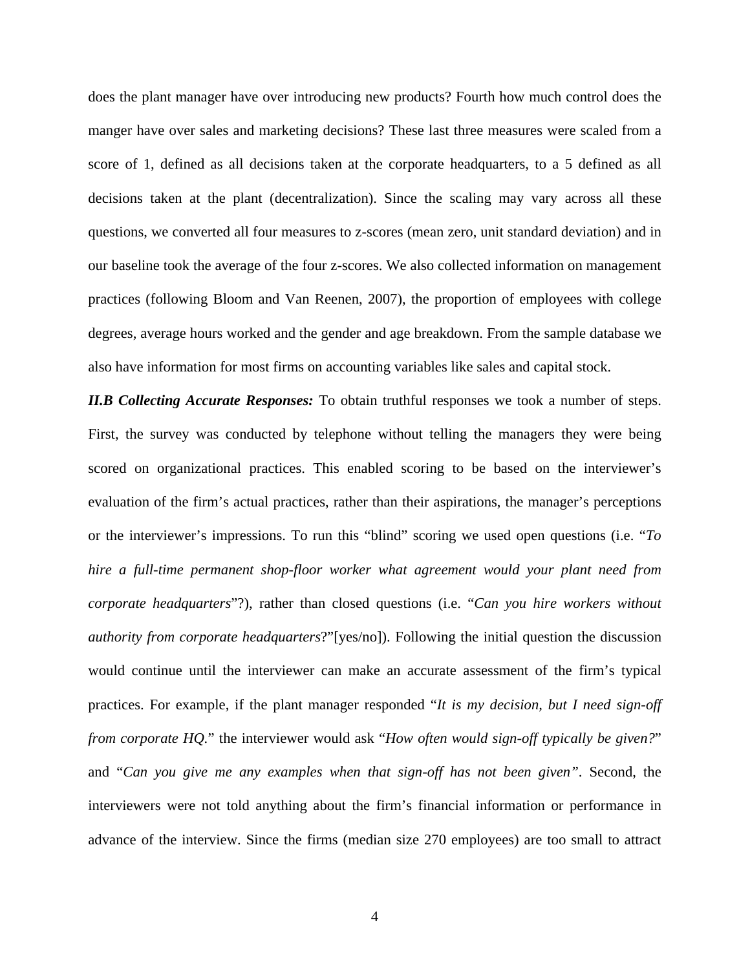does the plant manager have over introducing new products? Fourth how much control does the manger have over sales and marketing decisions? These last three measures were scaled from a score of 1, defined as all decisions taken at the corporate headquarters, to a 5 defined as all decisions taken at the plant (decentralization). Since the scaling may vary across all these questions, we converted all four measures to z-scores (mean zero, unit standard deviation) and in our baseline took the average of the four z-scores. We also collected information on management practices (following Bloom and Van Reenen, 2007), the proportion of employees with college degrees, average hours worked and the gender and age breakdown. From the sample database we also have information for most firms on accounting variables like sales and capital stock.

*II.B Collecting Accurate Responses:* To obtain truthful responses we took a number of steps. First, the survey was conducted by telephone without telling the managers they were being scored on organizational practices. This enabled scoring to be based on the interviewer's evaluation of the firm's actual practices, rather than their aspirations, the manager's perceptions or the interviewer's impressions. To run this "blind" scoring we used open questions (i.e. "*To hire a full-time permanent shop-floor worker what agreement would your plant need from corporate headquarters*"?), rather than closed questions (i.e. "*Can you hire workers without authority from corporate headquarters*?"[yes/no]). Following the initial question the discussion would continue until the interviewer can make an accurate assessment of the firm's typical practices. For example, if the plant manager responded "*It is my decision, but I need sign-off from corporate HQ.*" the interviewer would ask "*How often would sign-off typically be given?*" and "*Can you give me any examples when that sign-off has not been given"*. Second, the interviewers were not told anything about the firm's financial information or performance in advance of the interview. Since the firms (median size 270 employees) are too small to attract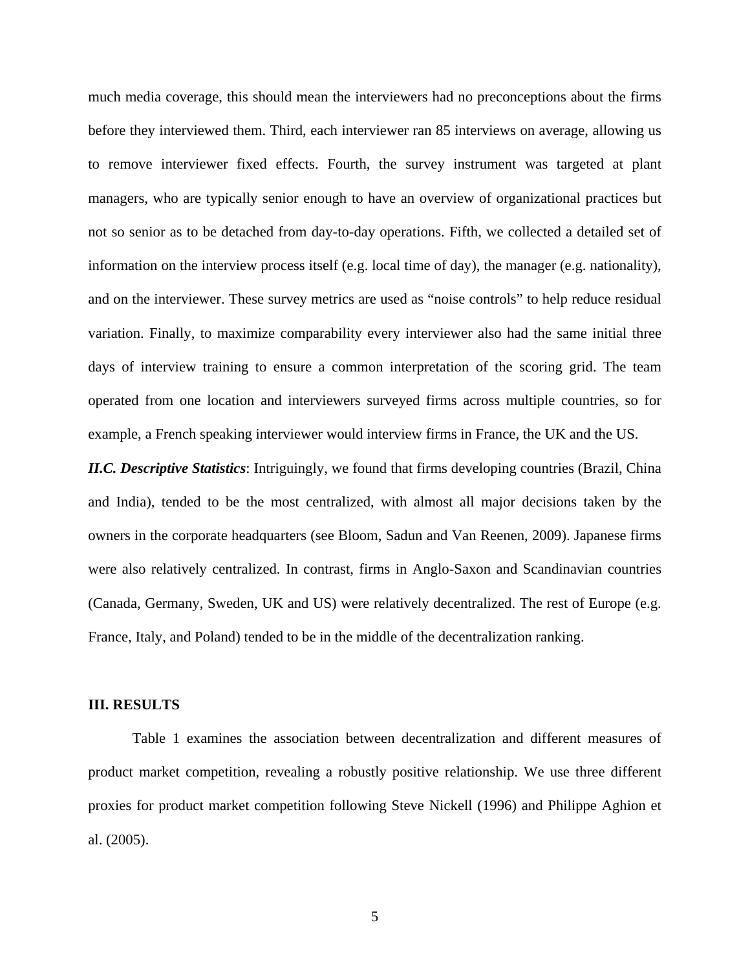much media coverage, this should mean the interviewers had no preconceptions about the firms before they interviewed them. Third, each interviewer ran 85 interviews on average, allowing us to remove interviewer fixed effects. Fourth, the survey instrument was targeted at plant managers, who are typically senior enough to have an overview of organizational practices but not so senior as to be detached from day-to-day operations. Fifth, we collected a detailed set of information on the interview process itself (e.g. local time of day), the manager (e.g. nationality), and on the interviewer. These survey metrics are used as "noise controls" to help reduce residual variation. Finally, to maximize comparability every interviewer also had the same initial three days of interview training to ensure a common interpretation of the scoring grid. The team operated from one location and interviewers surveyed firms across multiple countries, so for example, a French speaking interviewer would interview firms in France, the UK and the US.

*II.C. Descriptive Statistics*: Intriguingly, we found that firms developing countries (Brazil, China and India), tended to be the most centralized, with almost all major decisions taken by the owners in the corporate headquarters (see Bloom, Sadun and Van Reenen, 2009). Japanese firms were also relatively centralized. In contrast, firms in Anglo-Saxon and Scandinavian countries (Canada, Germany, Sweden, UK and US) were relatively decentralized. The rest of Europe (e.g. France, Italy, and Poland) tended to be in the middle of the decentralization ranking.

#### **III. RESULTS**

Table 1 examines the association between decentralization and different measures of product market competition, revealing a robustly positive relationship. We use three different proxies for product market competition following Steve Nickell (1996) and Philippe Aghion et al. (2005).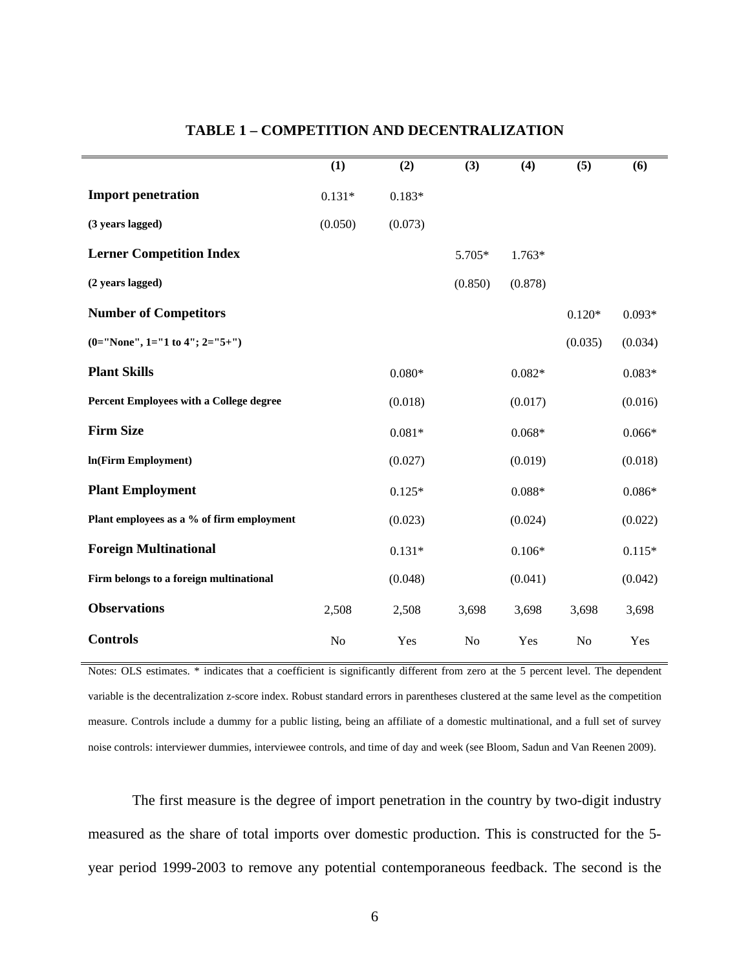|                                           | (1)      | (2)      | (3)     | (4)      | (5)            | (6)      |
|-------------------------------------------|----------|----------|---------|----------|----------------|----------|
| <b>Import penetration</b>                 | $0.131*$ | $0.183*$ |         |          |                |          |
| (3 years lagged)                          | (0.050)  | (0.073)  |         |          |                |          |
| <b>Lerner Competition Index</b>           |          |          | 5.705*  | $1.763*$ |                |          |
| (2 years lagged)                          |          |          | (0.850) | (0.878)  |                |          |
| <b>Number of Competitors</b>              |          |          |         |          | $0.120*$       | $0.093*$ |
| (0="None", 1="1 to 4"; 2="5+")            |          |          |         |          | (0.035)        | (0.034)  |
| <b>Plant Skills</b>                       |          | $0.080*$ |         | $0.082*$ |                | $0.083*$ |
| Percent Employees with a College degree   |          | (0.018)  |         | (0.017)  |                | (0.016)  |
| <b>Firm Size</b>                          |          | $0.081*$ |         | $0.068*$ |                | $0.066*$ |
| In(Firm Employment)                       |          | (0.027)  |         | (0.019)  |                | (0.018)  |
| <b>Plant Employment</b>                   |          | $0.125*$ |         | $0.088*$ |                | $0.086*$ |
| Plant employees as a % of firm employment |          | (0.023)  |         | (0.024)  |                | (0.022)  |
| <b>Foreign Multinational</b>              |          | $0.131*$ |         | $0.106*$ |                | $0.115*$ |
| Firm belongs to a foreign multinational   |          | (0.048)  |         | (0.041)  |                | (0.042)  |
| <b>Observations</b>                       | 2,508    | 2,508    | 3,698   | 3,698    | 3,698          | 3,698    |
| <b>Controls</b>                           | No       | Yes      | No      | Yes      | N <sub>o</sub> | Yes      |

#### **TABLE 1 – COMPETITION AND DECENTRALIZATION**

Notes: OLS estimates. \* indicates that a coefficient is significantly different from zero at the 5 percent level. The dependent variable is the decentralization z-score index. Robust standard errors in parentheses clustered at the same level as the competition measure. Controls include a dummy for a public listing, being an affiliate of a domestic multinational, and a full set of survey noise controls: interviewer dummies, interviewee controls, and time of day and week (see Bloom, Sadun and Van Reenen 2009).

The first measure is the degree of import penetration in the country by two-digit industry measured as the share of total imports over domestic production. This is constructed for the 5 year period 1999-2003 to remove any potential contemporaneous feedback. The second is the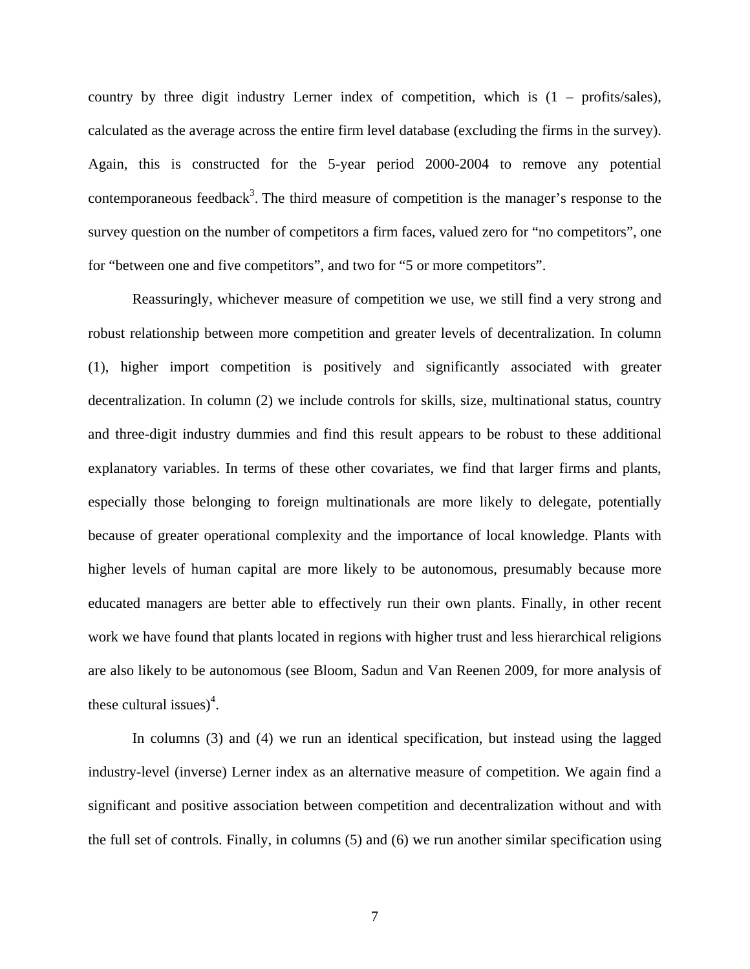country by three digit industry Lerner index of competition, which is (1 – profits/sales), calculated as the average across the entire firm level database (excluding the firms in the survey). Again, this is constructed for the 5-year period 2000-2004 to remove any potential contemporaneous feedback<sup>3</sup>. The third measure of competition is the manager's response to the survey question on the number of competitors a firm faces, valued zero for "no competitors", one for "between one and five competitors", and two for "5 or more competitors".

Reassuringly, whichever measure of competition we use, we still find a very strong and robust relationship between more competition and greater levels of decentralization. In column (1), higher import competition is positively and significantly associated with greater decentralization. In column (2) we include controls for skills, size, multinational status, country and three-digit industry dummies and find this result appears to be robust to these additional explanatory variables. In terms of these other covariates, we find that larger firms and plants, especially those belonging to foreign multinationals are more likely to delegate, potentially because of greater operational complexity and the importance of local knowledge. Plants with higher levels of human capital are more likely to be autonomous, presumably because more educated managers are better able to effectively run their own plants. Finally, in other recent work we have found that plants located in regions with higher trust and less hierarchical religions are also likely to be autonomous (see Bloom, Sadun and Van Reenen 2009, for more analysis of these cultural issues)<sup>4</sup>.

In columns (3) and (4) we run an identical specification, but instead using the lagged industry-level (inverse) Lerner index as an alternative measure of competition. We again find a significant and positive association between competition and decentralization without and with the full set of controls. Finally, in columns (5) and (6) we run another similar specification using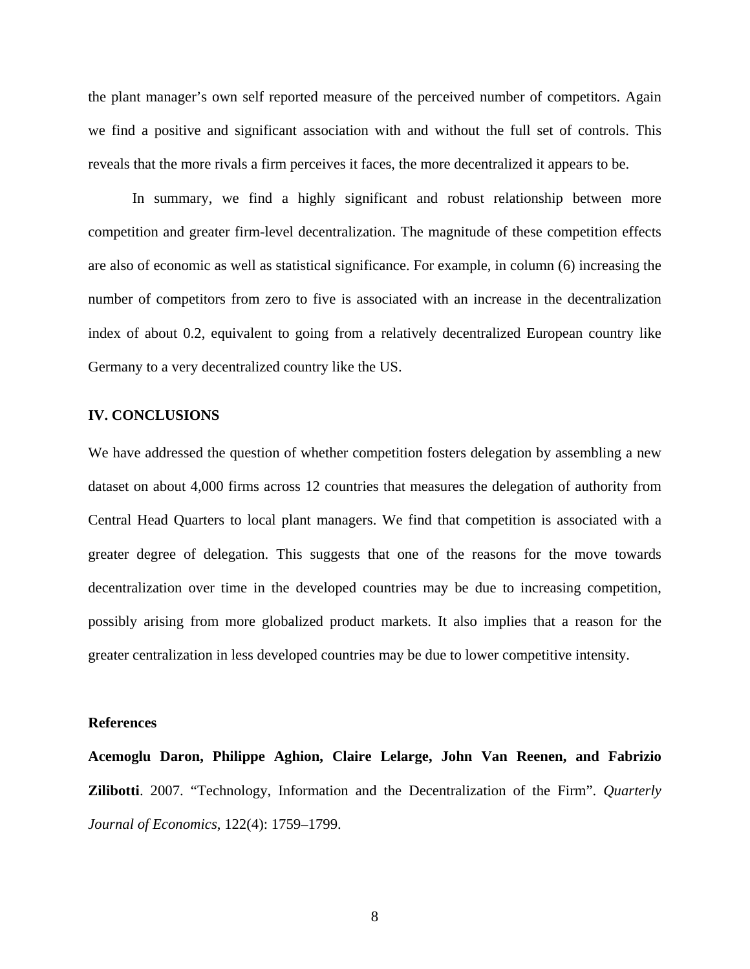the plant manager's own self reported measure of the perceived number of competitors. Again we find a positive and significant association with and without the full set of controls. This reveals that the more rivals a firm perceives it faces, the more decentralized it appears to be.

In summary, we find a highly significant and robust relationship between more competition and greater firm-level decentralization. The magnitude of these competition effects are also of economic as well as statistical significance. For example, in column (6) increasing the number of competitors from zero to five is associated with an increase in the decentralization index of about 0.2, equivalent to going from a relatively decentralized European country like Germany to a very decentralized country like the US.

#### **IV. CONCLUSIONS**

We have addressed the question of whether competition fosters delegation by assembling a new dataset on about 4,000 firms across 12 countries that measures the delegation of authority from Central Head Quarters to local plant managers. We find that competition is associated with a greater degree of delegation. This suggests that one of the reasons for the move towards decentralization over time in the developed countries may be due to increasing competition, possibly arising from more globalized product markets. It also implies that a reason for the greater centralization in less developed countries may be due to lower competitive intensity.

#### **References**

**Acemoglu Daron, Philippe Aghion, Claire Lelarge, John Van Reenen, and Fabrizio Zilibotti**. 2007. "Technology, Information and the Decentralization of the Firm". *Quarterly Journal of Economics*, 122(4): 1759–1799.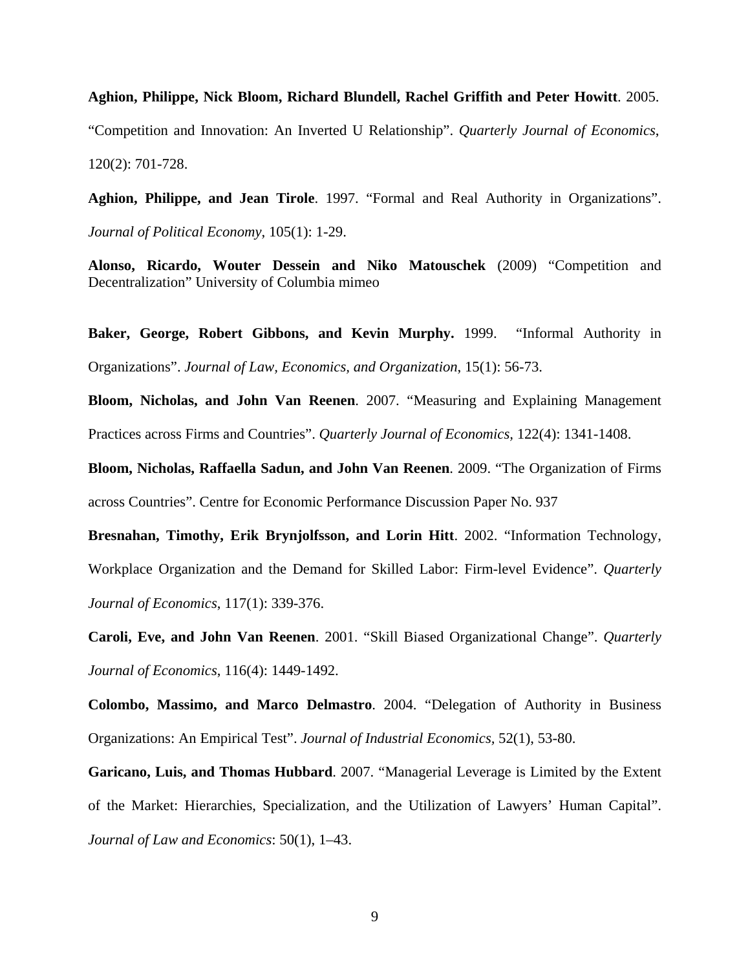# **Aghion, Philippe, Nick Bloom, Richard Blundell, Rachel Griffith and Peter Howitt**. 2005. "Competition and Innovation: An Inverted U Relationship". *Quarterly Journal of Economics*, 120(2): 701-728.

**Aghion, Philippe, and Jean Tirole**. 1997. "Formal and Real Authority in Organizations". *Journal of Political Economy*, 105(1): 1-29.

**Alonso, Ricardo, Wouter Dessein and Niko Matouschek** (2009) "Competition and Decentralization" University of Columbia mimeo

Baker, George, Robert Gibbons, and Kevin Murphy. 1999. "Informal Authority in Organizations". *Journal of Law, Economics, and Organization*, 15(1): 56-73.

**Bloom, Nicholas, and John Van Reenen**. 2007. "Measuring and Explaining Management Practices across Firms and Countries". *Quarterly Journal of Economics,* 122(4): 1341-1408.

**Bloom, Nicholas, Raffaella Sadun, and John Van Reenen**. 2009. "The Organization of Firms across Countries". Centre for Economic Performance Discussion Paper No. 937

**Bresnahan, Timothy, Erik Brynjolfsson, and Lorin Hitt**. 2002. "Information Technology, Workplace Organization and the Demand for Skilled Labor: Firm-level Evidence". *Quarterly Journal of Economics*, 117(1): 339-376.

**Caroli, Eve, and John Van Reenen**. 2001. "Skill Biased Organizational Change". *Quarterly Journal of Economics*, 116(4): 1449-1492.

**Colombo, Massimo, and Marco Delmastro**. 2004. "Delegation of Authority in Business Organizations: An Empirical Test". *Journal of Industrial Economics,* 52(1), 53-80.

**Garicano, Luis, and Thomas Hubbard**. 2007. "Managerial Leverage is Limited by the Extent of the Market: Hierarchies, Specialization, and the Utilization of Lawyers' Human Capital". *Journal of Law and Economics*: 50(1), 1–43.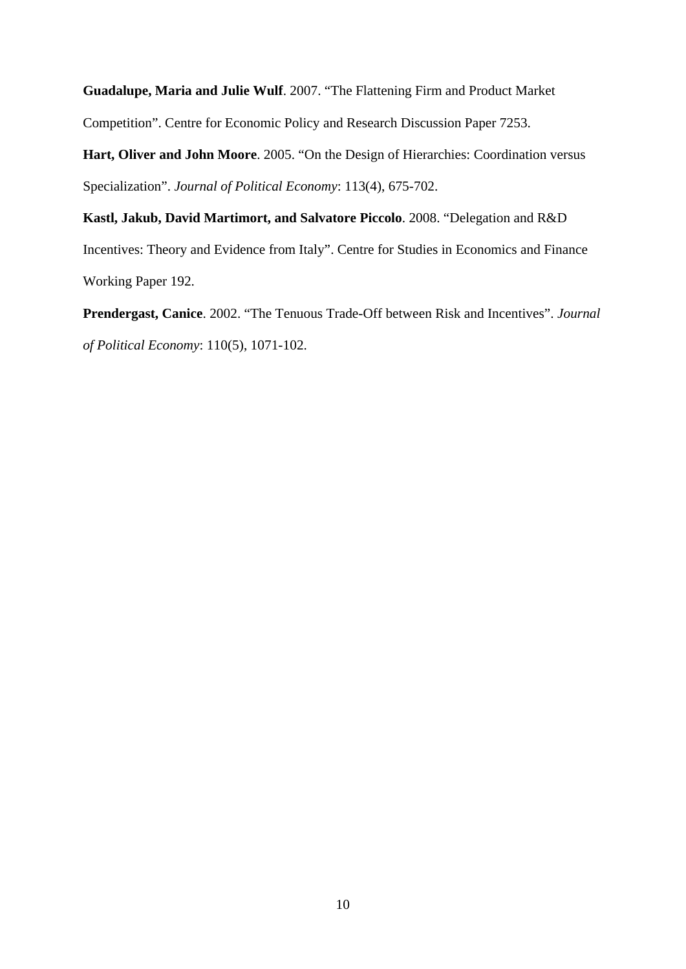**Guadalupe, Maria and Julie Wulf**. 2007. "The Flattening Firm and Product Market Competition". Centre for Economic Policy and Research Discussion Paper 7253.

**Hart, Oliver and John Moore**. 2005. "On the Design of Hierarchies: Coordination versus Specialization". *Journal of Political Economy*: 113(4), 675-702.

**Kastl, Jakub, David Martimort, and Salvatore Piccolo**. 2008. "Delegation and R&D Incentives: Theory and Evidence from Italy". Centre for Studies in Economics and Finance Working Paper 192.

**Prendergast, Canice**. 2002. "The Tenuous Trade-Off between Risk and Incentives". *Journal of Political Economy*: 110(5), 1071-102.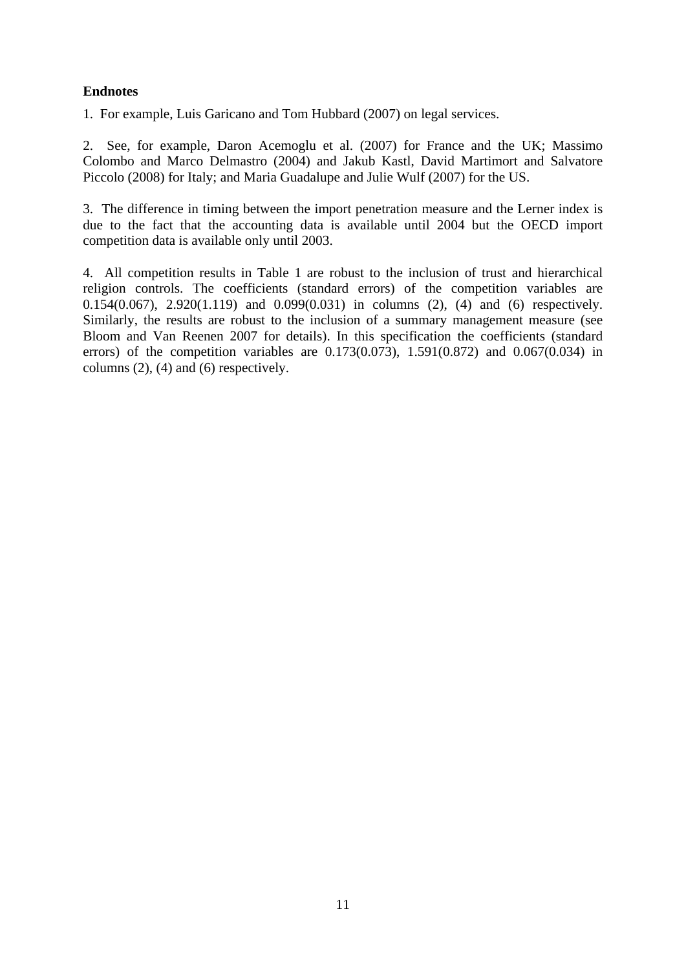### **Endnotes**

1. For example, Luis Garicano and Tom Hubbard (2007) on legal services.

2. See, for example, Daron Acemoglu et al. (2007) for France and the UK; Massimo Colombo and Marco Delmastro (2004) and Jakub Kastl, David Martimort and Salvatore Piccolo (2008) for Italy; and Maria Guadalupe and Julie Wulf (2007) for the US.

3. The difference in timing between the import penetration measure and the Lerner index is due to the fact that the accounting data is available until 2004 but the OECD import competition data is available only until 2003.

4. All competition results in Table 1 are robust to the inclusion of trust and hierarchical religion controls. The coefficients (standard errors) of the competition variables are 0.154(0.067), 2.920(1.119) and 0.099(0.031) in columns (2), (4) and (6) respectively. Similarly, the results are robust to the inclusion of a summary management measure (see Bloom and Van Reenen 2007 for details). In this specification the coefficients (standard errors) of the competition variables are  $0.173(0.073)$ ,  $1.591(0.872)$  and  $0.067(0.034)$  in columns (2), (4) and (6) respectively.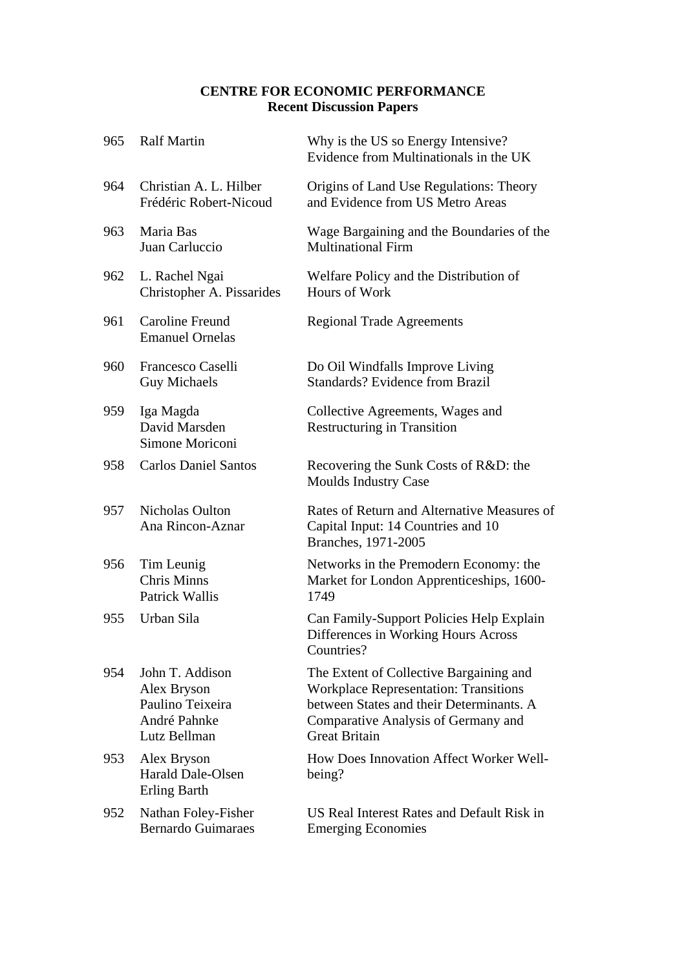### **CENTRE FOR ECONOMIC PERFORMANCE Recent Discussion Papers**

| 965 | <b>Ralf Martin</b>                                                                 | Why is the US so Energy Intensive?<br>Evidence from Multinationals in the UK                                                                                                                       |
|-----|------------------------------------------------------------------------------------|----------------------------------------------------------------------------------------------------------------------------------------------------------------------------------------------------|
| 964 | Christian A. L. Hilber<br>Frédéric Robert-Nicoud                                   | Origins of Land Use Regulations: Theory<br>and Evidence from US Metro Areas                                                                                                                        |
| 963 | Maria Bas<br>Juan Carluccio                                                        | Wage Bargaining and the Boundaries of the<br><b>Multinational Firm</b>                                                                                                                             |
| 962 | L. Rachel Ngai<br>Christopher A. Pissarides                                        | Welfare Policy and the Distribution of<br>Hours of Work                                                                                                                                            |
| 961 | Caroline Freund<br><b>Emanuel Ornelas</b>                                          | <b>Regional Trade Agreements</b>                                                                                                                                                                   |
| 960 | Francesco Caselli<br><b>Guy Michaels</b>                                           | Do Oil Windfalls Improve Living<br><b>Standards? Evidence from Brazil</b>                                                                                                                          |
| 959 | Iga Magda<br>David Marsden<br>Simone Moriconi                                      | Collective Agreements, Wages and<br><b>Restructuring in Transition</b>                                                                                                                             |
| 958 | <b>Carlos Daniel Santos</b>                                                        | Recovering the Sunk Costs of R&D: the<br><b>Moulds Industry Case</b>                                                                                                                               |
| 957 | <b>Nicholas Oulton</b><br>Ana Rincon-Aznar                                         | Rates of Return and Alternative Measures of<br>Capital Input: 14 Countries and 10<br>Branches, 1971-2005                                                                                           |
| 956 | Tim Leunig<br><b>Chris Minns</b><br><b>Patrick Wallis</b>                          | Networks in the Premodern Economy: the<br>Market for London Apprenticeships, 1600-<br>1749                                                                                                         |
| 955 | Urban Sila                                                                         | Can Family-Support Policies Help Explain<br>Differences in Working Hours Across<br>Countries?                                                                                                      |
| 954 | John T. Addison<br>Alex Bryson<br>Paulino Teixeira<br>André Pahnke<br>Lutz Bellman | The Extent of Collective Bargaining and<br><b>Workplace Representation: Transitions</b><br>between States and their Determinants. A<br>Comparative Analysis of Germany and<br><b>Great Britain</b> |
| 953 | Alex Bryson<br><b>Harald Dale-Olsen</b><br>Erling Barth                            | How Does Innovation Affect Worker Well-<br>being?                                                                                                                                                  |
| 952 | Nathan Foley-Fisher<br><b>Bernardo Guimaraes</b>                                   | US Real Interest Rates and Default Risk in<br><b>Emerging Economies</b>                                                                                                                            |